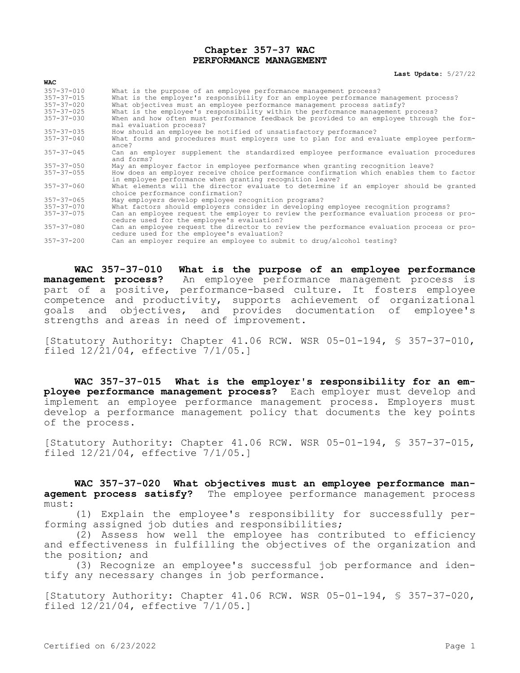## **Chapter 357-37 WAC PERFORMANCE MANAGEMENT**

## **Last Update:** 5/27/22

| $357 - 37 - 010$<br>$357 - 37 - 015$<br>$357 - 37 - 020$ | What is the purpose of an employee performance management process?<br>What is the employer's responsibility for an employee performance management process?<br>What objectives must an employee performance management process satisfy? |
|----------------------------------------------------------|-----------------------------------------------------------------------------------------------------------------------------------------------------------------------------------------------------------------------------------------|
| $357 - 37 - 025$                                         | What is the employee's responsibility within the performance management process?                                                                                                                                                        |
| $357 - 37 - 030$                                         | When and how often must performance feedback be provided to an employee through the for-<br>mal evaluation process?                                                                                                                     |
| $357 - 37 - 035$                                         | How should an employee be notified of unsatisfactory performance?                                                                                                                                                                       |
| $357 - 37 - 040$                                         | What forms and procedures must employers use to plan for and evaluate employee perform-<br>ance?                                                                                                                                        |
| $357 - 37 - 045$                                         | Can an employer supplement the standardized employee performance evaluation procedures<br>and forms?                                                                                                                                    |
| $357 - 37 - 050$                                         | May an employer factor in employee performance when granting recognition leave?                                                                                                                                                         |
| $357 - 37 - 055$                                         | How does an employer receive choice performance confirmation which enables them to factor<br>in employee performance when granting recognition leave?                                                                                   |
| $357 - 37 - 060$                                         | What elements will the director evaluate to determine if an employer should be granted<br>choice performance confirmation?                                                                                                              |
| $357 - 37 - 065$                                         | May employers develop employee recognition programs?                                                                                                                                                                                    |
| $357 - 37 - 070$                                         | What factors should employers consider in developing employee recognition programs?                                                                                                                                                     |
| $357 - 37 - 075$                                         | Can an employee request the employer to review the performance evaluation process or pro-<br>cedure used for the employee's evaluation?                                                                                                 |
| $357 - 37 - 080$                                         | Can an employee request the director to review the performance evaluation process or pro-<br>cedure used for the employee's evaluation?                                                                                                 |
| $357 - 37 - 200$                                         | Can an employer require an employee to submit to drug/alcohol testing?                                                                                                                                                                  |
|                                                          |                                                                                                                                                                                                                                         |

**WAC 357-37-010 What is the purpose of an employee performance management process?** An employee performance management process is part of a positive, performance-based culture. It fosters employee competence and productivity, supports achievement of organizational goals and objectives, and provides documentation of employee's strengths and areas in need of improvement.

[Statutory Authority: Chapter 41.06 RCW. WSR 05-01-194, § 357-37-010, filed 12/21/04, effective 7/1/05.]

**WAC 357-37-015 What is the employer's responsibility for an employee performance management process?** Each employer must develop and implement an employee performance management process. Employers must develop a performance management policy that documents the key points of the process.

[Statutory Authority: Chapter 41.06 RCW. WSR 05-01-194, § 357-37-015, filed 12/21/04, effective 7/1/05.]

**WAC 357-37-020 What objectives must an employee performance management process satisfy?** The employee performance management process must:

(1) Explain the employee's responsibility for successfully performing assigned job duties and responsibilities;

(2) Assess how well the employee has contributed to efficiency and effectiveness in fulfilling the objectives of the organization and the position; and

(3) Recognize an employee's successful job performance and identify any necessary changes in job performance.

[Statutory Authority: Chapter 41.06 RCW. WSR 05-01-194, § 357-37-020, filed 12/21/04, effective 7/1/05.]

**WAC**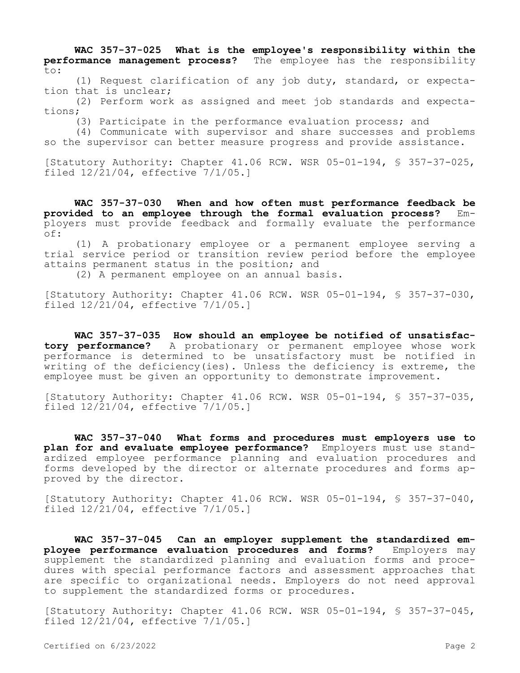**WAC 357-37-025 What is the employee's responsibility within the performance management process?** The employee has the responsibility to:

(1) Request clarification of any job duty, standard, or expectation that is unclear;

(2) Perform work as assigned and meet job standards and expectations;

(3) Participate in the performance evaluation process; and

(4) Communicate with supervisor and share successes and problems so the supervisor can better measure progress and provide assistance.

[Statutory Authority: Chapter 41.06 RCW. WSR 05-01-194, § 357-37-025, filed 12/21/04, effective 7/1/05.]

**WAC 357-37-030 When and how often must performance feedback be**  provided to an employee through the formal evaluation process? ployers must provide feedback and formally evaluate the performance of:

(1) A probationary employee or a permanent employee serving a trial service period or transition review period before the employee attains permanent status in the position; and

(2) A permanent employee on an annual basis.

[Statutory Authority: Chapter 41.06 RCW. WSR 05-01-194, § 357-37-030, filed 12/21/04, effective 7/1/05.]

**WAC 357-37-035 How should an employee be notified of unsatisfactory performance?** A probationary or permanent employee whose work performance is determined to be unsatisfactory must be notified in writing of the deficiency(ies). Unless the deficiency is extreme, the employee must be given an opportunity to demonstrate improvement.

[Statutory Authority: Chapter 41.06 RCW. WSR 05-01-194, § 357-37-035, filed 12/21/04, effective 7/1/05.]

**WAC 357-37-040 What forms and procedures must employers use to plan for and evaluate employee performance?** Employers must use standardized employee performance planning and evaluation procedures and forms developed by the director or alternate procedures and forms approved by the director.

[Statutory Authority: Chapter 41.06 RCW. WSR 05-01-194, § 357-37-040, filed 12/21/04, effective 7/1/05.]

**WAC 357-37-045 Can an employer supplement the standardized employee performance evaluation procedures and forms?** Employers may supplement the standardized planning and evaluation forms and procedures with special performance factors and assessment approaches that are specific to organizational needs. Employers do not need approval to supplement the standardized forms or procedures.

[Statutory Authority: Chapter 41.06 RCW. WSR 05-01-194, § 357-37-045, filed 12/21/04, effective 7/1/05.]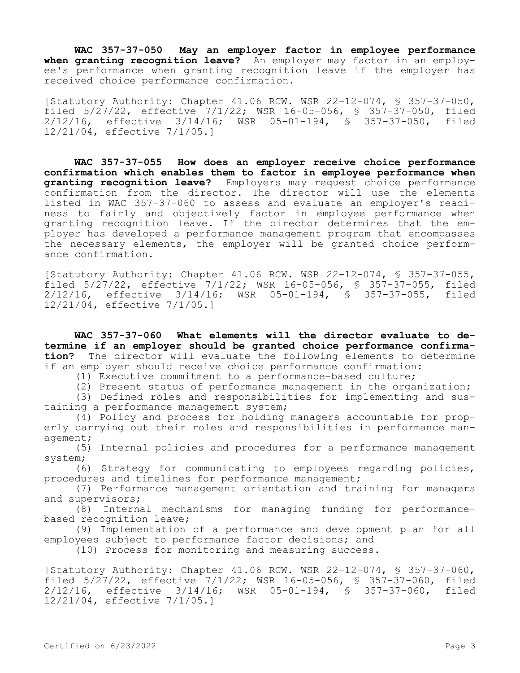**WAC 357-37-050 May an employer factor in employee performance**  when granting recognition leave? An employer may factor in an employee's performance when granting recognition leave if the employer has received choice performance confirmation.

[Statutory Authority: Chapter 41.06 RCW. WSR 22-12-074, § 357-37-050, filed 5/27/22, effective 7/1/22; WSR 16-05-056, § 357-37-050, filed 2/12/16, effective 3/14/16; WSR 05-01-194, § 357-37-050, filed 12/21/04, effective 7/1/05.]

**WAC 357-37-055 How does an employer receive choice performance confirmation which enables them to factor in employee performance when granting recognition leave?** Employers may request choice performance confirmation from the director. The director will use the elements listed in WAC 357-37-060 to assess and evaluate an employer's readiness to fairly and objectively factor in employee performance when granting recognition leave. If the director determines that the employer has developed a performance management program that encompasses the necessary elements, the employer will be granted choice performance confirmation.

[Statutory Authority: Chapter 41.06 RCW. WSR 22-12-074, § 357-37-055, filed 5/27/22, effective 7/1/22; WSR 16-05-056, § 357-37-055, filed 2/12/16, effective 3/14/16; WSR 05-01-194, § 357-37-055, filed 12/21/04, effective 7/1/05.]

**WAC 357-37-060 What elements will the director evaluate to determine if an employer should be granted choice performance confirmation?** The director will evaluate the following elements to determine if an employer should receive choice performance confirmation:

(1) Executive commitment to a performance-based culture;

(2) Present status of performance management in the organization;

(3) Defined roles and responsibilities for implementing and sustaining a performance management system;

(4) Policy and process for holding managers accountable for properly carrying out their roles and responsibilities in performance management;

(5) Internal policies and procedures for a performance management system;

(6) Strategy for communicating to employees regarding policies, procedures and timelines for performance management;

(7) Performance management orientation and training for managers and supervisors;

(8) Internal mechanisms for managing funding for performancebased recognition leave;

(9) Implementation of a performance and development plan for all employees subject to performance factor decisions; and

(10) Process for monitoring and measuring success.

[Statutory Authority: Chapter 41.06 RCW. WSR 22-12-074, § 357-37-060, filed 5/27/22, effective 7/1/22; WSR 16-05-056, § 357-37-060, filed 2/12/16, effective 3/14/16; WSR 05-01-194, § 357-37-060, filed 12/21/04, effective 7/1/05.]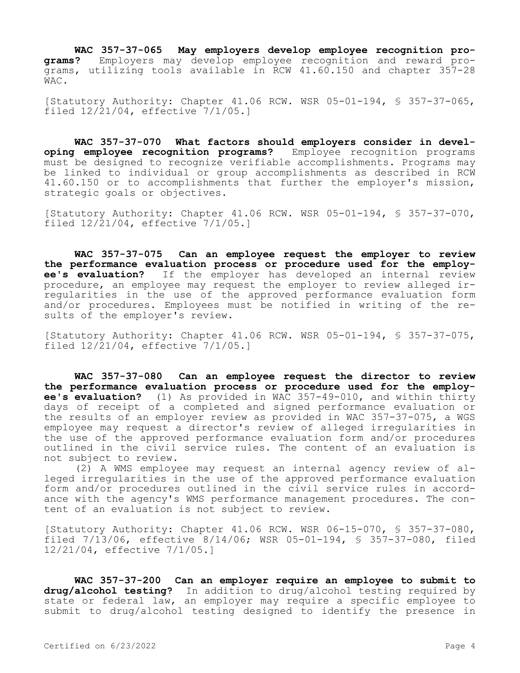**WAC 357-37-065 May employers develop employee recognition programs?** Employers may develop employee recognition and reward programs, utilizing tools available in RCW 41.60.150 and chapter 357-28 WAC.

[Statutory Authority: Chapter 41.06 RCW. WSR 05-01-194, § 357-37-065, filed 12/21/04, effective 7/1/05.]

**WAC 357-37-070 What factors should employers consider in developing employee recognition programs?** Employee recognition programs must be designed to recognize verifiable accomplishments. Programs may be linked to individual or group accomplishments as described in RCW 41.60.150 or to accomplishments that further the employer's mission, strategic goals or objectives.

[Statutory Authority: Chapter 41.06 RCW. WSR 05-01-194, § 357-37-070, filed 12/21/04, effective 7/1/05.]

**WAC 357-37-075 Can an employee request the employer to review the performance evaluation process or procedure used for the employee's evaluation?** If the employer has developed an internal review procedure, an employee may request the employer to review alleged irregularities in the use of the approved performance evaluation form and/or procedures. Employees must be notified in writing of the results of the employer's review.

[Statutory Authority: Chapter 41.06 RCW. WSR 05-01-194, § 357-37-075, filed 12/21/04, effective 7/1/05.]

**WAC 357-37-080 Can an employee request the director to review the performance evaluation process or procedure used for the employee's evaluation?** (1) As provided in WAC 357-49-010, and within thirty days of receipt of a completed and signed performance evaluation or the results of an employer review as provided in WAC 357-37-075, a WGS employee may request a director's review of alleged irregularities in the use of the approved performance evaluation form and/or procedures outlined in the civil service rules. The content of an evaluation is not subject to review.

(2) A WMS employee may request an internal agency review of alleged irregularities in the use of the approved performance evaluation form and/or procedures outlined in the civil service rules in accordance with the agency's WMS performance management procedures. The content of an evaluation is not subject to review.

[Statutory Authority: Chapter 41.06 RCW. WSR 06-15-070, § 357-37-080, filed 7/13/06, effective 8/14/06; WSR 05-01-194, § 357-37-080, filed 12/21/04, effective 7/1/05.]

**WAC 357-37-200 Can an employer require an employee to submit to drug/alcohol testing?** In addition to drug/alcohol testing required by state or federal law, an employer may require a specific employee to submit to drug/alcohol testing designed to identify the presence in